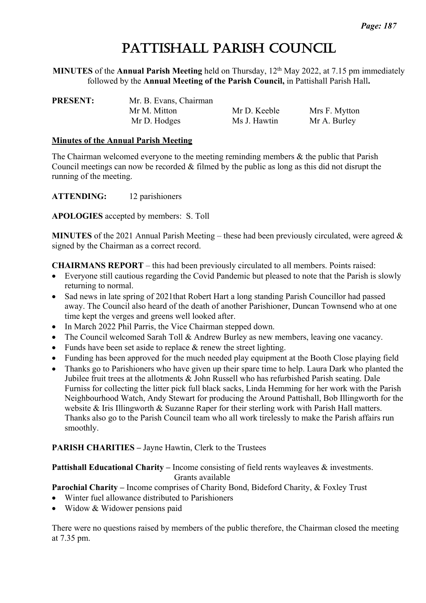# PATTISHALL PARISH COUNCIL

**MINUTES** of the **Annual Parish Meeting** held on Thursday, 12<sup>th</sup> May 2022, at 7.15 pm immediately followed by the **Annual Meeting of the Parish Council,** in Pattishall Parish Hall**.**

| <b>PRESENT:</b> | Mr. B. Evans, Chairman |              |               |
|-----------------|------------------------|--------------|---------------|
|                 | Mr M. Mitton           | Mr D. Keeble | Mrs F. Mytton |
|                 | Mr D. Hodges           | Ms J. Hawtin | Mr A. Burley  |

#### **Minutes of the Annual Parish Meeting**

The Chairman welcomed everyone to the meeting reminding members & the public that Parish Council meetings can now be recorded & filmed by the public as long as this did not disrupt the running of the meeting.

**ATTENDING:** 12 parishioners

**APOLOGIES** accepted by members: S. Toll

**MINUTES** of the 2021 Annual Parish Meeting – these had been previously circulated, were agreed & signed by the Chairman as a correct record.

**CHAIRMANS REPORT** – this had been previously circulated to all members. Points raised:

- Everyone still cautious regarding the Covid Pandemic but pleased to note that the Parish is slowly returning to normal.
- Sad news in late spring of 2021 that Robert Hart a long standing Parish Councillor had passed away. The Council also heard of the death of another Parishioner, Duncan Townsend who at one time kept the verges and greens well looked after.
- In March 2022 Phil Parris, the Vice Chairman stepped down.
- The Council welcomed Sarah Toll & Andrew Burley as new members, leaving one vacancy.
- Funds have been set aside to replace & renew the street lighting.
- Funding has been approved for the much needed play equipment at the Booth Close playing field
- Thanks go to Parishioners who have given up their spare time to help. Laura Dark who planted the Jubilee fruit trees at the allotments & John Russell who has refurbished Parish seating. Dale Furniss for collecting the litter pick full black sacks, Linda Hemming for her work with the Parish Neighbourhood Watch, Andy Stewart for producing the Around Pattishall, Bob Illingworth for the website & Iris Illingworth & Suzanne Raper for their sterling work with Parish Hall matters. Thanks also go to the Parish Council team who all work tirelessly to make the Parish affairs run smoothly.

### **PARISH CHARITIES –** Jayne Hawtin, Clerk to the Trustees

**Pattishall Educational Charity – Income consisting of field rents wayleaves & investments.** Grants available

## **Parochial Charity –** Income comprises of Charity Bond, Bideford Charity, & Foxley Trust

- Winter fuel allowance distributed to Parishioners
- Widow & Widower pensions paid

There were no questions raised by members of the public therefore, the Chairman closed the meeting at 7.35 pm.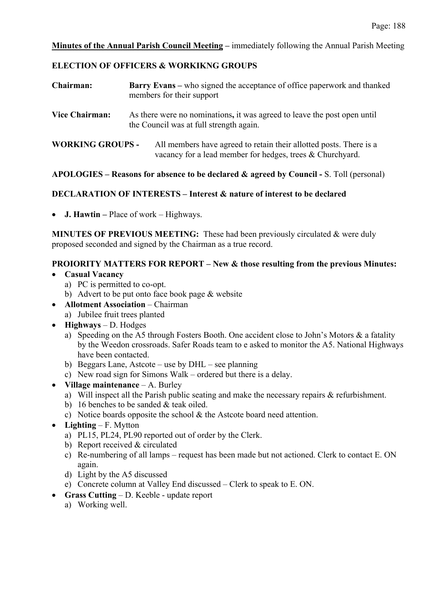#### **Minutes of the Annual Parish Council Meeting –** immediately following the Annual Parish Meeting

#### **ELECTION OF OFFICERS & WORKIKNG GROUPS**

| Chairman:               | <b>Barry Evans</b> – who signed the acceptance of office paperwork and thanked<br>members for their support                     |  |  |
|-------------------------|---------------------------------------------------------------------------------------------------------------------------------|--|--|
| <b>Vice Chairman:</b>   | As there were no nominations, it was agreed to leave the post open until<br>the Council was at full strength again.             |  |  |
| <b>WORKING GROUPS -</b> | All members have agreed to retain their allotted posts. There is a<br>vacancy for a lead member for hedges, trees & Churchyard. |  |  |

### **APOLOGIES – Reasons for absence to be declared & agreed by Council -** S. Toll (personal)

#### **DECLARATION OF INTERESTS – Interest & nature of interest to be declared**

• **J. Hawtin –** Place of work – Highways.

**MINUTES OF PREVIOUS MEETING:** These had been previously circulated & were duly proposed seconded and signed by the Chairman as a true record.

### **PROIORITY MATTERS FOR REPORT – New & those resulting from the previous Minutes:**

- **Casual Vacancy**
	- a) PC is permitted to co-opt.
	- b) Advert to be put onto face book page & website
- **Allotment Association** Chairman
	- a) Jubilee fruit trees planted
- **Highways** D. Hodges
	- a) Speeding on the A5 through Fosters Booth. One accident close to John's Motors & a fatality by the Weedon crossroads. Safer Roads team to e asked to monitor the A5. National Highways have been contacted.
	- b) Beggars Lane, Astcote use by DHL see planning
	- c) New road sign for Simons Walk ordered but there is a delay.
- **Village maintenance** A. Burley
	- a) Will inspect all the Parish public seating and make the necessary repairs & refurbishment.
	- b) 16 benches to be sanded & teak oiled.
	- c) Notice boards opposite the school & the Astcote board need attention.
- **Lighting** F. Mytton
	- a) PL15, PL24, PL90 reported out of order by the Clerk.
	- b) Report received & circulated
	- c) Re-numbering of all lamps request has been made but not actioned. Clerk to contact E. ON again.
	- d) Light by the A5 discussed
	- e) Concrete column at Valley End discussed Clerk to speak to E. ON.
- **Grass Cutting** D. Keeble update report
	- a) Working well.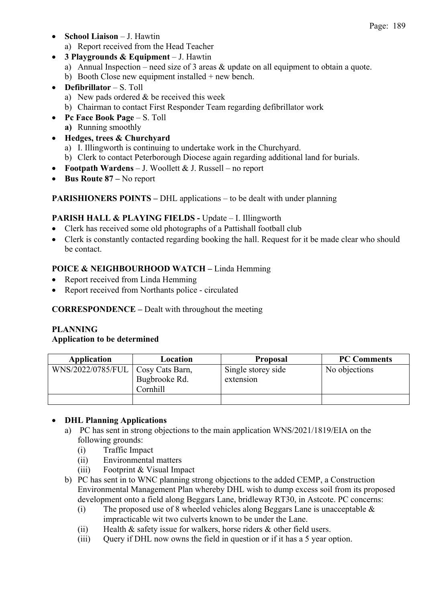• **School Liaison** – J. Hawtin

a) Report received from the Head Teacher

- **3 Playgrounds & Equipment** J. Hawtin
	- a) Annual Inspection need size of 3 areas & update on all equipment to obtain a quote.
	- b) Booth Close new equipment installed + new bench.
- **Defibrillator** S. Toll
	- a) New pads ordered & be received this week
	- b) Chairman to contact First Responder Team regarding defibrillator work
- **Pc Face Book Page** S. Toll **a)** Running smoothly
- **Hedges, trees & Churchyard**
	- a) I. Illingworth is continuing to undertake work in the Churchyard.
	- b) Clerk to contact Peterborough Diocese again regarding additional land for burials.
- **Footpath Wardens** J. Woollett & J. Russell no report
- **Bus Route 87 –** No report

**PARISHIONERS POINTS –** DHL applications – to be dealt with under planning

## **PARISH HALL & PLAYING FIELDS -** Update – I. Illingworth

- Clerk has received some old photographs of a Pattishall football club
- Clerk is constantly contacted regarding booking the hall. Request for it be made clear who should be contact.

## **POICE & NEIGHBOURHOOD WATCH –** Linda Hemming

- Report received from Linda Hemming
- Report received from Northants police circulated

## **CORRESPONDENCE –** Dealt with throughout the meeting

## **PLANNING**

## **Application to be determined**

| Application                         | Location                  | <b>Proposal</b>                 | <b>PC Comments</b> |
|-------------------------------------|---------------------------|---------------------------------|--------------------|
| WNS/2022/0785/FUL   Cosy Cats Barn, | Bugbrooke Rd.<br>Cornhill | Single storey side<br>extension | No objections      |
|                                     |                           |                                 |                    |

## • **DHL Planning Applications**

- a) PC has sent in strong objections to the main application WNS/2021/1819/EIA on the following grounds:
	- (i) Traffic Impact
	- (ii) Environmental matters
	- (iii) Footprint & Visual Impact
- b) PC has sent in to WNC planning strong objections to the added CEMP, a Construction Environmental Management Plan whereby DHL wish to dump excess soil from its proposed development onto a field along Beggars Lane, bridleway RT30, in Astcote. PC concerns:
	- (i) The proposed use of 8 wheeled vehicles along Beggars Lane is unacceptable  $\&$ impracticable wit two culverts known to be under the Lane.
	- (ii) Health  $&$  safety issue for walkers, horse riders  $&$  other field users.
	- (iii) Query if DHL now owns the field in question or if it has a 5 year option.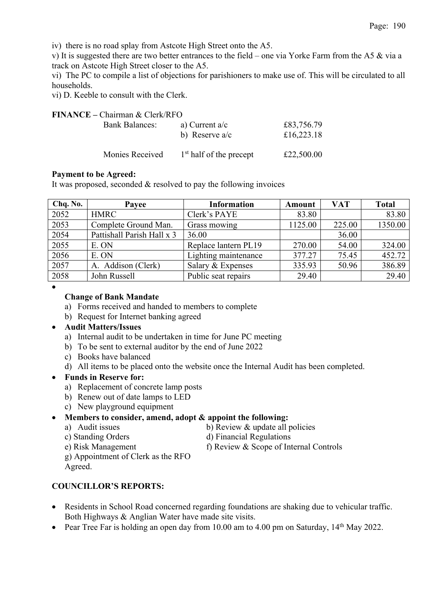Page: 190

iv) there is no road splay from Astcote High Street onto the A5.

v) It is suggested there are two better entrances to the field – one via Yorke Farm from the A5 & via a track on Astcote High Street closer to the A5.

vi) The PC to compile a list of objections for parishioners to make use of. This will be circulated to all households.

vi) D. Keeble to consult with the Clerk.

#### **FINANCE –** Chairman & Clerk/RFO

| <b>Bank Balances:</b> | a) Current $a/c$<br>b) Reserve $a/c$ | £83,756.79<br>£16,223.18 |
|-----------------------|--------------------------------------|--------------------------|
| Monies Received       | $1st$ half of the precept            | £22,500.00               |

#### **Payment to be Agreed:**

It was proposed, seconded & resolved to pay the following invoices

| Chq. No. | Payee                      | <b>Information</b>   | Amount  | <b>VAT</b> | <b>Total</b> |
|----------|----------------------------|----------------------|---------|------------|--------------|
| 2052     | <b>HMRC</b>                | Clerk's PAYE         | 83.80   |            | 83.80        |
| 2053     | Complete Ground Man.       | Grass mowing         | 1125.00 | 225.00     | 1350.00      |
| 2054     | Pattishall Parish Hall x 3 | 36.00                |         | 36.00      |              |
| 2055     | E. ON                      | Replace lantern PL19 | 270.00  | 54.00      | 324.00       |
| 2056     | E. ON                      | Lighting maintenance | 377.27  | 75.45      | 452.72       |
| 2057     | A. Addison (Clerk)         | Salary & Expenses    | 335.93  | 50.96      | 386.89       |
| 2058     | John Russell               | Public seat repairs  | 29.40   |            | 29.40        |

## **Change of Bank Mandate**

•

- a) Forms received and handed to members to complete
- b) Request for Internet banking agreed
- **Audit Matters/Issues**
	- a) Internal audit to be undertaken in time for June PC meeting
	- b) To be sent to external auditor by the end of June 2022
	- c) Books have balanced
	- d) All items to be placed onto the website once the Internal Audit has been completed.

### • **Funds in Reserve for:**

- a) Replacement of concrete lamp posts
- b) Renew out of date lamps to LED
- c) New playground equipment
- **Members to consider, amend, adopt & appoint the following:**
	-
	- a) Audit issues b) Review & update all policies
	- c) Standing Orders d) Financial Regulations
	- e) Risk Management f) Review & Scope of Internal Controls
	- g) Appointment of Clerk as the RFO
	- Agreed.

## **COUNCILLOR'S REPORTS:**

- Residents in School Road concerned regarding foundations are shaking due to vehicular traffic. Both Highways & Anglian Water have made site visits.
- Pear Tree Far is holding an open day from 10.00 am to 4.00 pm on Saturday, 14<sup>th</sup> May 2022.